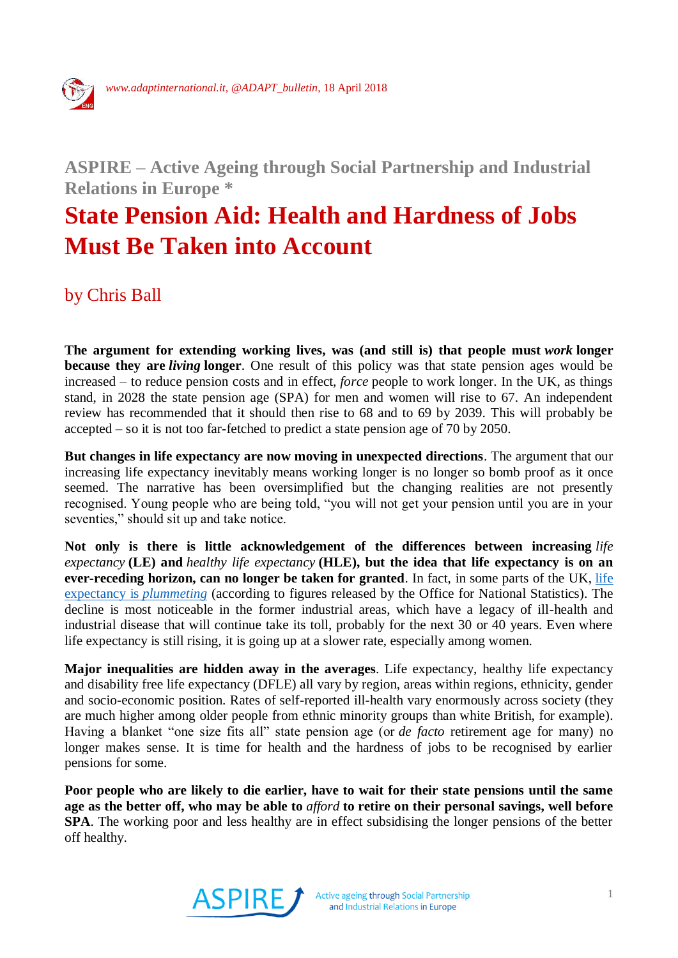

## **ASPIRE – Active Ageing through Social Partnership and Industrial Relations in Europe \***

## **State Pension Aid: Health and Hardness of Jobs Must Be Taken into Account**

by Chris Ball

**The argument for extending working lives, was (and still is) that people must** *work* **longer because they are** *living* **longer**. One result of this policy was that state pension ages would be increased – to reduce pension costs and in effect, *force* people to work longer. In the UK, as things stand, in 2028 the state pension age (SPA) for men and women will rise to 67. An independent review has recommended that it should then rise to 68 and to 69 by 2039. This will probably be accepted – so it is not too far-fetched to predict a state pension age of 70 by 2050.

**But changes in life expectancy are now moving in unexpected directions**. The argument that our increasing life expectancy inevitably means working longer is no longer so bomb proof as it once seemed. The narrative has been oversimplified but the changing realities are not presently recognised. Young people who are being told, "you will not get your pension until you are in your seventies," should sit up and take notice.

**Not only is there is little acknowledgement of the differences between increasing** *life expectancy* **(LE) and** *healthy life expectancy* **(HLE), but the idea that life expectancy is on an ever-receding horizon, can no longer be taken for granted**. In fact, in some parts of the UK, [life](https://www.independent.co.uk/news/uk/home-news/life-expectancy-uk-plumments-ons-data-hartlepool-torridge-amber-valley-barnsley-a8164171.html)  [expectancy is](https://www.independent.co.uk/news/uk/home-news/life-expectancy-uk-plumments-ons-data-hartlepool-torridge-amber-valley-barnsley-a8164171.html) *plummeting* (according to figures released by the Office for National Statistics). The decline is most noticeable in the former industrial areas, which have a legacy of ill-health and industrial disease that will continue take its toll, probably for the next 30 or 40 years. Even where life expectancy is still rising, it is going up at a slower rate, especially among women.

**Major inequalities are hidden away in the averages**. Life expectancy, healthy life expectancy and disability free life expectancy (DFLE) all vary by region, areas within regions, ethnicity, gender and socio-economic position. Rates of self-reported ill-health vary enormously across society (they are much higher among older people from ethnic minority groups than white British, for example). Having a blanket "one size fits all" state pension age (or *de facto* retirement age for many) no longer makes sense. It is time for health and the hardness of jobs to be recognised by earlier pensions for some.

**Poor people who are likely to die earlier, have to wait for their state pensions until the same age as the better off, who may be able to** *afford* **to retire on their personal savings, well before SPA**. The working poor and less healthy are in effect subsidising the longer pensions of the better off healthy.